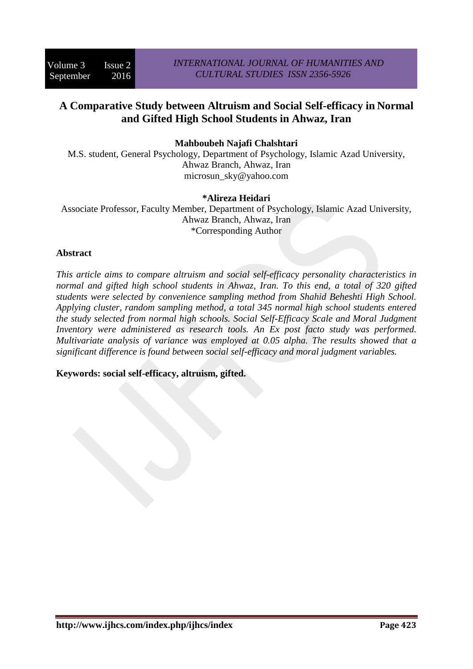# **A Comparative Study between Altruism and Social Self-efficacy in Normal and Gifted High School Students in Ahwaz, Iran**

**Mahboubeh Najafi Chalshtari** 

M.S. student, General Psychology, Department of Psychology, Islamic Azad University, Ahwaz Branch, Ahwaz, Iran microsun\_sky@yahoo.com

## **\*Alireza Heidari**

Associate Professor, Faculty Member, Department of Psychology, Islamic Azad University, Ahwaz Branch, Ahwaz, Iran \*Corresponding Author

## **Abstract**

*This article aims to compare altruism and social self-efficacy personality characteristics in normal and gifted high school students in Ahwaz, Iran. To this end, a total of 320 gifted students were selected by convenience sampling method from Shahid Beheshti High School. Applying cluster, random sampling method, a total 345 normal high school students entered the study selected from normal high schools. Social Self-Efficacy Scale and Moral Judgment Inventory were administered as research tools. An Ex post facto study was performed. Multivariate analysis of variance was employed at 0.05 alpha. The results showed that a significant difference is found between social self-efficacy and moral judgment variables.* 

**Keywords: social self-efficacy, altruism, gifted.**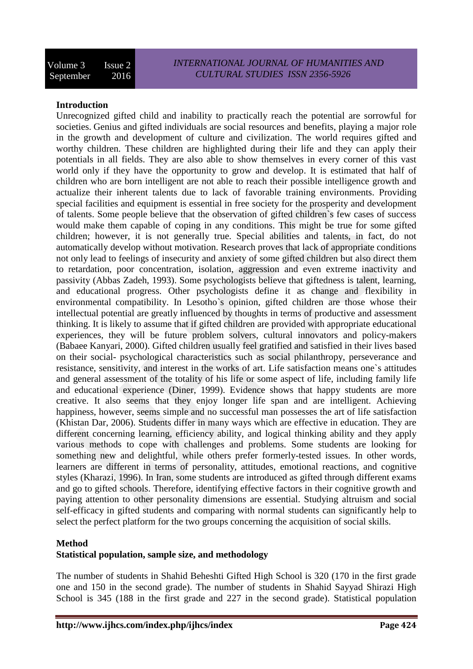## **Introduction**

Unrecognized gifted child and inability to practically reach the potential are sorrowful for societies. Genius and gifted individuals are social resources and benefits, playing a major role in the growth and development of culture and civilization. The world requires gifted and worthy children. These children are highlighted during their life and they can apply their potentials in all fields. They are also able to show themselves in every corner of this vast world only if they have the opportunity to grow and develop. It is estimated that half of children who are born intelligent are not able to reach their possible intelligence growth and actualize their inherent talents due to lack of favorable training environments. Providing special facilities and equipment is essential in free society for the prosperity and development of talents. Some people believe that the observation of gifted children`s few cases of success would make them capable of coping in any conditions. This might be true for some gifted children; however, it is not generally true. Special abilities and talents, in fact, do not automatically develop without motivation. Research proves that lack of appropriate conditions not only lead to feelings of insecurity and anxiety of some gifted children but also direct them to retardation, poor concentration, isolation, aggression and even extreme inactivity and passivity (Abbas Zadeh, 1993). Some psychologists believe that giftedness is talent, learning, and educational progress. Other psychologists define it as change and flexibility in environmental compatibility. In Lesotho`s opinion, gifted children are those whose their intellectual potential are greatly influenced by thoughts in terms of productive and assessment thinking. It is likely to assume that if gifted children are provided with appropriate educational experiences, they will be future problem solvers, cultural innovators and policy-makers (Babaee Kanyari, 2000). Gifted children usually feel gratified and satisfied in their lives based on their social- psychological characteristics such as social philanthropy, perseverance and resistance, sensitivity, and interest in the works of art. Life satisfaction means one`s attitudes and general assessment of the totality of his life or some aspect of life, including family life and educational experience (Diner, 1999). Evidence shows that happy students are more creative. It also seems that they enjoy longer life span and are intelligent. Achieving happiness, however, seems simple and no successful man possesses the art of life satisfaction (Khistan Dar, 2006). Students differ in many ways which are effective in education. They are different concerning learning, efficiency ability, and logical thinking ability and they apply various methods to cope with challenges and problems. Some students are looking for something new and delightful, while others prefer formerly-tested issues. In other words, learners are different in terms of personality, attitudes, emotional reactions, and cognitive styles (Kharazi, 1996). In Iran, some students are introduced as gifted through different exams and go to gifted schools. Therefore, identifying effective factors in their cognitive growth and paying attention to other personality dimensions are essential. Studying altruism and social self-efficacy in gifted students and comparing with normal students can significantly help to select the perfect platform for the two groups concerning the acquisition of social skills.

#### **Method**

## **Statistical population, sample size, and methodology**

The number of students in Shahid Beheshti Gifted High School is 320 (170 in the first grade one and 150 in the second grade). The number of students in Shahid Sayyad Shirazi High School is 345 (188 in the first grade and 227 in the second grade). Statistical population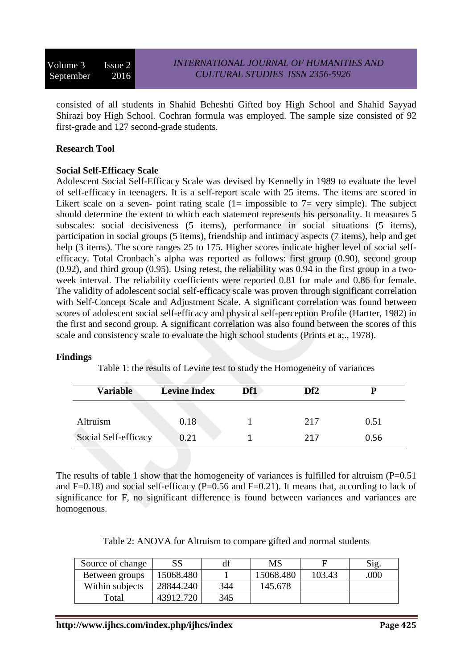consisted of all students in Shahid Beheshti Gifted boy High School and Shahid Sayyad Shirazi boy High School. Cochran formula was employed. The sample size consisted of 92 first-grade and 127 second-grade students.

## **Research Tool**

## **Social Self-Efficacy Scale**

Adolescent Social Self-Efficacy Scale was devised by Kennelly in 1989 to evaluate the level of self-efficacy in teenagers. It is a self-report scale with 25 items. The items are scored in Likert scale on a seven- point rating scale  $(1=$  impossible to  $7=$  very simple). The subject should determine the extent to which each statement represents his personality. It measures 5 subscales: social decisiveness (5 items), performance in social situations (5 items), participation in social groups (5 items), friendship and intimacy aspects (7 items), help and get help (3 items). The score ranges 25 to 175. Higher scores indicate higher level of social selfefficacy. Total Cronbach`s alpha was reported as follows: first group (0.90), second group (0.92), and third group (0.95). Using retest, the reliability was 0.94 in the first group in a twoweek interval. The reliability coefficients were reported 0.81 for male and 0.86 for female. The validity of adolescent social self-efficacy scale was proven through significant correlation with Self-Concept Scale and Adjustment Scale. A significant correlation was found between scores of adolescent social self-efficacy and physical self-perception Profile (Hartter, 1982) in the first and second group. A significant correlation was also found between the scores of this scale and consistency scale to evaluate the high school students (Prints et a;., 1978).

#### **Findings**

Table 1: the results of Levine test to study the Homogeneity of variances

| <b>Variable</b>      | <b>Levine Index</b> | Df1 | Df <sub>2</sub> |      |
|----------------------|---------------------|-----|-----------------|------|
| Altruism             | 0.18                |     | 217             | 0.51 |
| Social Self-efficacy | 0.21                |     | 217             | 0.56 |

The results of table 1 show that the homogeneity of variances is fulfilled for altruism  $(P=0.51)$ and F=0.18) and social self-efficacy (P=0.56 and F=0.21). It means that, according to lack of significance for F, no significant difference is found between variances and variances are homogenous.

|  | Table 2: ANOVA for Altruism to compare gifted and normal students |
|--|-------------------------------------------------------------------|
|  |                                                                   |

| Source of change | SS        |     | <b>MS</b> |        | Sig. |
|------------------|-----------|-----|-----------|--------|------|
| Between groups   | 15068.480 |     | 15068.480 | 103.43 | .000 |
| Within subjects  | 28844.240 | 344 | 145.678   |        |      |
| Total            | 43912.720 | 345 |           |        |      |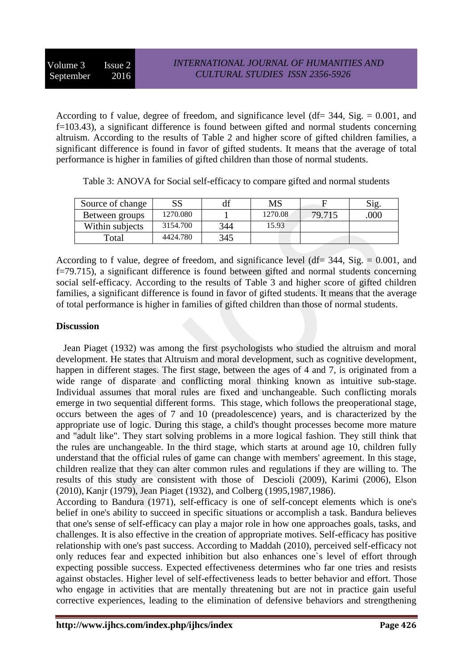According to f value, degree of freedom, and significance level (df=  $344$ , Sig. = 0.001, and f=103.43), a significant difference is found between gifted and normal students concerning altruism. According to the results of Table 2 and higher score of gifted children families, a significant difference is found in favor of gifted students. It means that the average of total performance is higher in families of gifted children than those of normal students.

| Source of change | SS       |     | MS      |        | Sig |
|------------------|----------|-----|---------|--------|-----|
| Between groups   | 1270.080 |     | 1270.08 | 79.715 | 000 |
| Within subjects  | 3154.700 | 344 | 15.93   |        |     |
| Total            | 4424.780 | 345 |         |        |     |

Table 3: ANOVA for Social self-efficacy to compare gifted and normal students

According to f value, degree of freedom, and significance level ( $df = 344$ ,  $Sig = 0.001$ , and f=79.715), a significant difference is found between gifted and normal students concerning social self-efficacy. According to the results of Table 3 and higher score of gifted children families, a significant difference is found in favor of gifted students. It means that the average of total performance is higher in families of gifted children than those of normal students.

## **Discussion**

 Jean Piaget (1932) was among the first psychologists who studied the altruism and moral development. He states that Altruism and moral development, such as cognitive development, happen in different stages. The first stage, between the ages of 4 and 7, is originated from a wide range of disparate and conflicting moral thinking known as intuitive sub-stage. Individual assumes that moral rules are fixed and unchangeable. Such conflicting morals emerge in two sequential different forms. This stage, which follows the preoperational stage, occurs between the ages of 7 and 10 (preadolescence) years, and is characterized by the appropriate use of logic. During this stage, a child's thought processes become more mature and "adult like". They start solving problems in a more logical fashion. They still think that the rules are unchangeable. In the third stage, which starts at around age 10, children fully understand that the official rules of game can change with members' agreement. In this stage, children realize that they can alter common rules and regulations if they are willing to. The results of this study are consistent with those of Descioli (2009), Karimi (2006), Elson (2010), Kanjr (1979), Jean Piaget (1932), and Colberg (1995,1987,1986).

According to Bandura (1971), self-efficacy is one of self-concept elements which is one's belief in one's ability to succeed in specific situations or accomplish a task. Bandura believes that one's sense of self-efficacy can play a major role in how one approaches goals, tasks, and challenges. It is also effective in the creation of appropriate motives. Self-efficacy has positive relationship with one's past success. According to Maddah (2010), perceived self-efficacy not only reduces fear and expected inhibition but also enhances one`s level of effort through expecting possible success. Expected effectiveness determines who far one tries and resists against obstacles. Higher level of self-effectiveness leads to better behavior and effort. Those who engage in activities that are mentally threatening but are not in practice gain useful corrective experiences, leading to the elimination of defensive behaviors and strengthening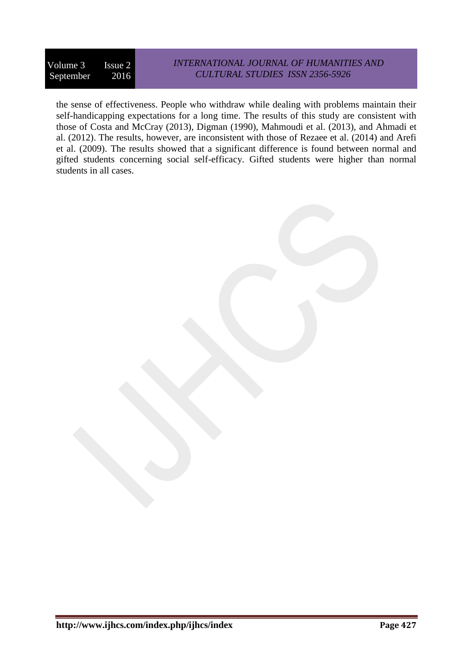# *INTERNATIONAL JOURNAL OF HUMANITIES AND CULTURAL STUDIES ISSN 2356-5926*

the sense of effectiveness. People who withdraw while dealing with problems maintain their self-handicapping expectations for a long time. The results of this study are consistent with those of Costa and McCray (2013), Digman (1990), Mahmoudi et al. (2013), and Ahmadi et al. (2012). The results, however, are inconsistent with those of Rezaee et al. (2014) and Arefi et al. (2009). The results showed that a significant difference is found between normal and gifted students concerning social self-efficacy. Gifted students were higher than normal students in all cases.